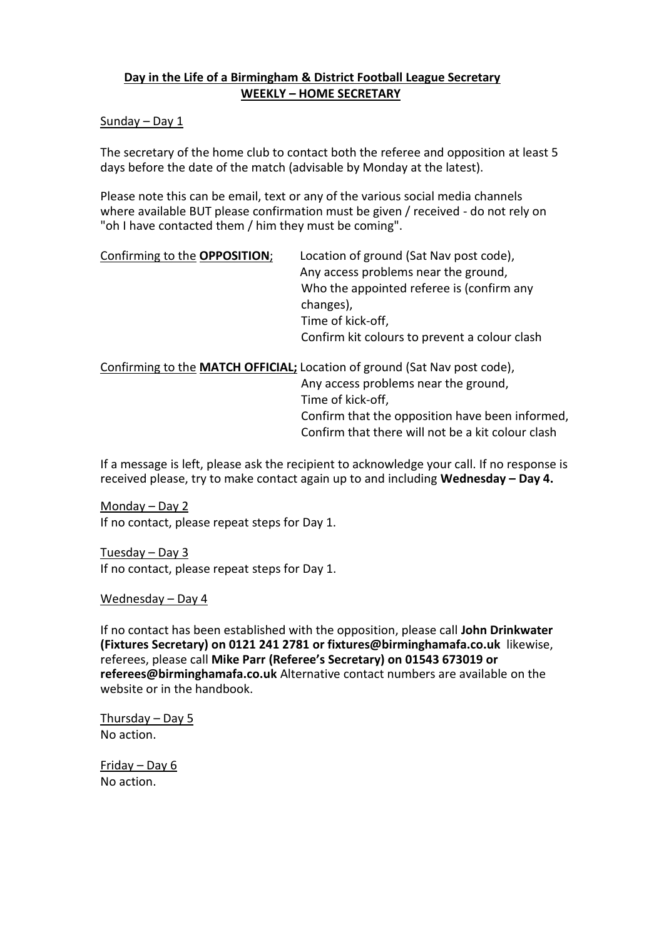# **Day in the Life of a Birmingham & District Football League Secretary WEEKLY – HOME SECRETARY**

# Sunday – Day 1

The secretary of the home club to contact both the referee and opposition at least 5 days before the date of the match (advisable by Monday at the latest).

Please note this can be email, text or any of the various social media channels where available BUT please confirmation must be given / received - do not rely on "oh I have contacted them / him they must be coming".

## Confirming to the **OPPOSITION**; Location of ground (Sat Nav post code),

Any access problems near the ground, Who the appointed referee is (confirm any changes), Time of kick-off, Confirm kit colours to prevent a colour clash

Confirming to the **MATCH OFFICIAL;** Location of ground (Sat Nav post code),

Any access problems near the ground, Time of kick-off, Confirm that the opposition have been informed, Confirm that there will not be a kit colour clash

If a message is left, please ask the recipient to acknowledge your call. If no response is received please, try to make contact again up to and including **Wednesday – Day 4.**

Monday – Day 2 If no contact, please repeat steps for Day 1.

Tuesday – Day 3 If no contact, please repeat steps for Day 1.

Wednesday – Day 4

If no contact has been established with the opposition, please call **John Drinkwater (Fixtures Secretary) on 0121 241 2781 or fixtures@birminghamafa.co.uk** likewise, referees, please call **Mike Parr (Referee's Secretary) on 01543 673019 or referees@birminghamafa.co.uk** Alternative contact numbers are available on the website or in the handbook.

Thursday – Day 5 No action.

Friday – Day 6 No action.